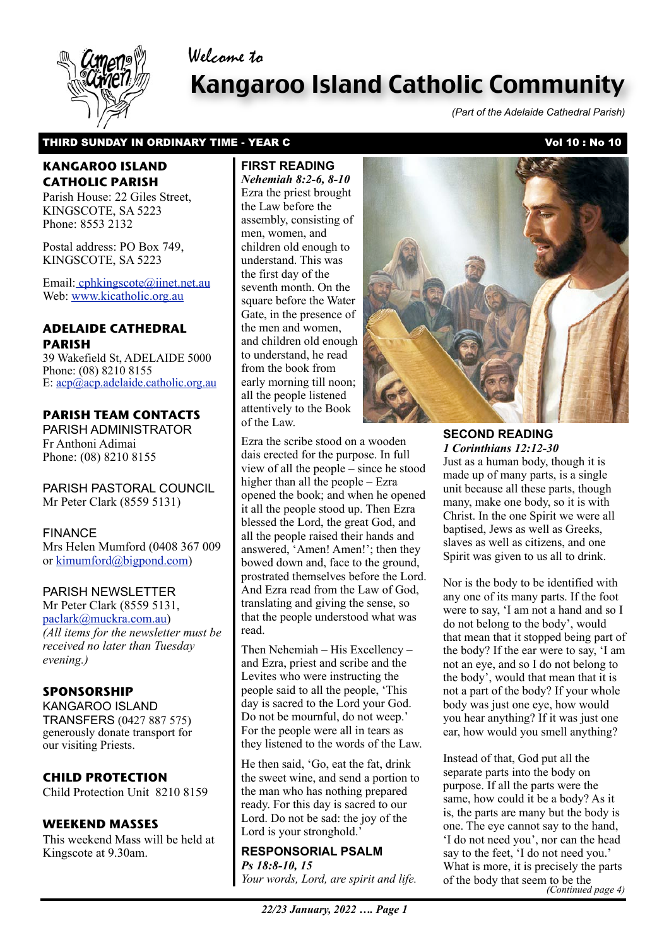## Welcome to



# Kangaroo Island Catholic Community

*(Part of the Adelaide Cathedral Parish)*

#### THIRD SUNDAY IN ORDINARY TIME - YEAR C VOLTED VOL 10 : No 10

#### **KANGAROO ISLAND CATHOLIC PARISH**

Parish House: 22 Giles Street, KINGSCOTE, SA 5223 Phone: 8553 2132

Postal address: PO Box 749, KINGSCOTE, SA 5223

Email[: cphkingscote@iinet.net.au](mailto:cphkingscote@iinet.net.au) Web: [www.kicatholic.org.au](http://www.kicatholic.org.au)

#### **ADELAIDE CATHEDRAL PARISH**

39 Wakefield St, ADELAIDE 5000 Phone: (08) 8210 8155 E: [acp@acp.adelaide.catholic.org.au](mailto:?subject=)

#### **PARISH TEAM CONTACTS**

PARISH ADMINISTRATOR Fr Anthoni Adimai Phone: (08) 8210 8155

PARISH PASTORAL COUNCIL Mr Peter Clark (8559 5131)

FINANCE Mrs Helen Mumford (0408 367 009 or [kimumford@bigpond.com\)](mailto:kimumford@bigpond.com)

#### PARISH NEWSLETTER

Mr Peter Clark (8559 5131, [paclark@muckra.com.au\)](mailto:paclark@muckra.com.au) *(All items for the newsletter must be received no later than Tuesday evening.)*

#### **SPONSORSHIP**

KANGAROO ISLAND TRANSFERS (0427 887 575) generously donate transport for our visiting Priests.

#### **CHILD PROTECTION**

Child Protection Unit 8210 8159

#### **WEEKEND MASSES**

This weekend Mass will be held at Kingscote at 9.30am.

## **FIRST READING**

*Nehemiah 8:2-6, 8-10* Ezra the priest brought the Law before the assembly, consisting of men, women, and children old enough to understand. This was the first day of the seventh month. On the square before the Water Gate, in the presence of the men and women, and children old enough to understand, he read from the book from early morning till noon; all the people listened attentively to the Book of the Law.

Ezra the scribe stood on a wooden dais erected for the purpose. In full view of all the people – since he stood higher than all the people – Ezra opened the book; and when he opened it all the people stood up. Then Ezra blessed the Lord, the great God, and all the people raised their hands and answered, 'Amen! Amen!'; then they bowed down and, face to the ground, prostrated themselves before the Lord. And Ezra read from the Law of God, translating and giving the sense, so that the people understood what was read.

Then Nehemiah – His Excellency – and Ezra, priest and scribe and the Levites who were instructing the people said to all the people, 'This day is sacred to the Lord your God. Do not be mournful, do not weep.' For the people were all in tears as they listened to the words of the Law.

He then said, 'Go, eat the fat, drink the sweet wine, and send a portion to the man who has nothing prepared ready. For this day is sacred to our Lord. Do not be sad: the joy of the Lord is your stronghold.<sup>3</sup>

#### **RESPONSORIAL PSALM** *Ps 18:8-10, 15*

 *Your words, Lord, are spirit and life.*



#### **SECOND READING** *1 Corinthians 12:12-30*

Just as a human body, though it is made up of many parts, is a single unit because all these parts, though many, make one body, so it is with Christ. In the one Spirit we were all baptised, Jews as well as Greeks, slaves as well as citizens, and one Spirit was given to us all to drink.

Nor is the body to be identified with any one of its many parts. If the foot were to say, 'I am not a hand and so I do not belong to the body', would that mean that it stopped being part of the body? If the ear were to say, 'I am not an eye, and so I do not belong to the body', would that mean that it is not a part of the body? If your whole body was just one eye, how would you hear anything? If it was just one ear, how would you smell anything?

Instead of that, God put all the separate parts into the body on purpose. If all the parts were the same, how could it be a body? As it is, the parts are many but the body is one. The eye cannot say to the hand, 'I do not need you', nor can the head say to the feet, 'I do not need you.' What is more, it is precisely the parts of the body that seem to be the *(Continued page 4)*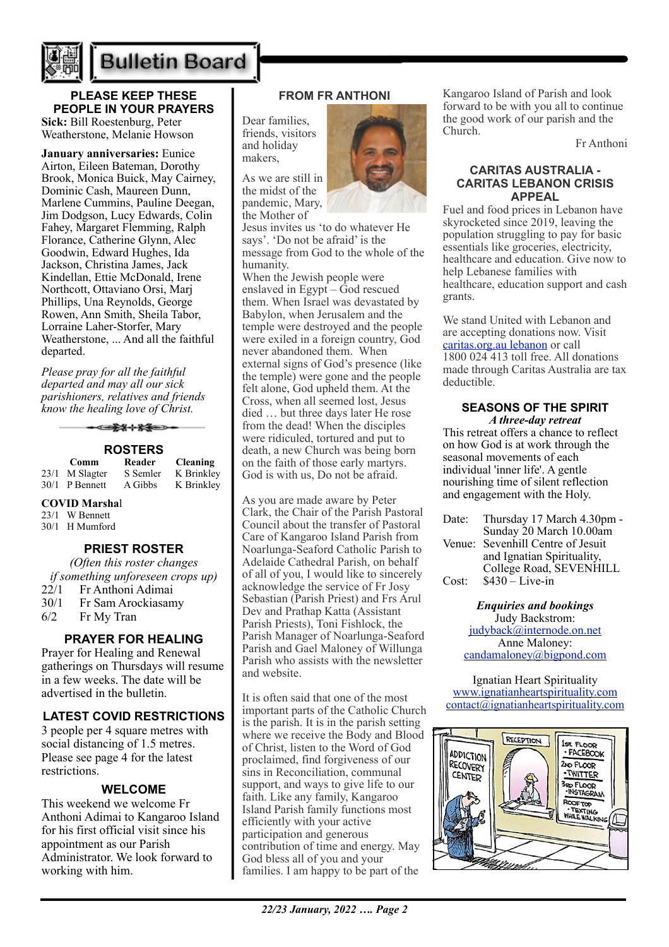

## **Bulletin Board**

**PLEASE KEEP THESE PEOPLE IN YOUR PRAYERS Sick:** Bill Roestenburg, Peter Weatherstone, Melanie Howson

**January anniversaries:** Eunice Airton, Eileen Bateman, Dorothy Brook, Monica Buick, May Cairney, Dominic Cash, Maureen Dunn, Marlene Cummins, Pauline Deegan, Jim Dodgson, Lucy Edwards, Colin Fahey, Margaret Flemming, Ralph Florance, Catherine Glynn, Alec Goodwin, Edward Hughes, Ida Jackson, Christina James, Jack Kindellan, Ettie McDonald, Irene Northcott, Ottaviano Orsi, Marj Phillips, Una Reynolds, George Rowen, Ann Smith, Sheila Tabor, Lorraine Laher-Storfer, Mary Weatherstone, ... And all the faithful departed.

*Please pray for all the faithful departed and may all our sick parishioners, relatives and friends know the healing love of Christ.*

▅<del>⋭</del>⋇⊹⋇⋚⋹⋺

#### **ROSTERS Comm Reader Cleaning**

| Comm             | Reader   | <b>Cleaning</b> |
|------------------|----------|-----------------|
| 23/1 M Slagter   | S Semler | K Brinkley      |
| $30/1$ P Bennett | A Gibbs  | K Brinkley      |

#### **COVID Marsha**l

- 23/1 W Bennett
- 30/1 H Mumford

#### **PRIEST ROSTER**

*(Often this roster changes if something unforeseen crops up)* 22/1 Fr Anthoni Adimai 30/1 Fr Sam Arockiasamy 6/2 Fr My Tran

#### **PRAYER FOR HEALING**

Prayer for Healing and Renewal gatherings on Thursdays will resume in a few weeks. The date will be advertised in the bulletin.

#### **LATEST COVID RESTRICTIONS**

3 people per 4 square metres with social distancing of 1.5 metres. Please see page 4 for the latest restrictions.

#### **WELCOME**

This weekend we welcome Fr Anthoni Adimai to Kangaroo Island for his first official visit since his appointment as our Parish Administrator. We look forward to working with him.

#### **FROM FR ANTHONI**

Dear families, friends, visitors and holiday makers,

As we are still in the midst of the pandemic, Mary, the Mother of

Jesus invites us 'to do whatever He says'. 'Do not be afraid' is the message from God to the whole of the humanity.

When the Jewish people were enslaved in Egypt – God rescued them. When Israel was devastated by Babylon, when Jerusalem and the temple were destroyed and the people were exiled in a foreign country, God never abandoned them. When external signs of God's presence (like the temple) were gone and the people felt alone, God upheld them. At the Cross, when all seemed lost, Jesus died … but three days later He rose from the dead! When the disciples were ridiculed, tortured and put to death, a new Church was being born on the faith of those early martyrs. God is with us, Do not be afraid.

As you are made aware by Peter Clark, the Chair of the Parish Pastoral Council about the transfer of Pastoral Care of Kangaroo Island Parish from Noarlunga-Seaford Catholic Parish to Adelaide Cathedral Parish, on behalf of all of you, I would like to sincerely acknowledge the service of Fr Josy Sebastian (Parish Priest) and Frs Arul Dev and Prathap Katta (Assistant Parish Priests), Toni Fishlock, the Parish Manager of Noarlunga-Seaford Parish and Gael Maloney of Willunga Parish who assists with the newsletter and website.

It is often said that one of the most important parts of the Catholic Church is the parish. It is in the parish setting where we receive the Body and Blood of Christ, listen to the Word of God proclaimed, find forgiveness of our sins in Reconciliation, communal support, and ways to give life to our faith. Like any family, Kangaroo Island Parish family functions most efficiently with your active participation and generous contribution of time and energy. May God bless all of you and your families. I am happy to be part of the

Kangaroo Island of Parish and look forward to be with you all to continue the good work of our parish and the Church.

Fr Anthoni

#### **CARITAS AUSTRALIA - CARITAS LEBANON CRISIS APPEAL**

Fuel and food prices in Lebanon have skyrocketed since 2019, leaving the population struggling to pay for basic essentials like groceries, electricity, healthcare and education. Give now to help Lebanese families with healthcare, education support and cash grants.

We stand United with Lebanon and are accepting donations now. Visit [caritas.org.au lebanon](http://www.google.com.au/) or call 1800 024 413 toll free. All donations made through Caritas Australia are tax deductible.

#### **SEASONS OF THE SPIRIT** *A three-day retreat*

This retreat offers a chance to reflect on how God is at work through the seasonal movements of each individual 'inner life'. A gentle nourishing time of silent reflection and engagement with the Holy.

| Date:  | Thursday 17 March 4.30pm - |
|--------|----------------------------|
|        | Sunday 20 March 10.00am    |
| Venue: | Sevenhill Centre of Jesuit |
|        | and Ignatian Spirituality, |
|        | College Road, SEVENHILL    |
| Cost:  | $$430 - Live-in$           |
|        |                            |

*Enquiries and bookings* Judy Backstrom: [judyback@internode.on.net](mailto:judyback@internode.on.net) Anne Maloney: [candamaloney@bigpond.com](mailto:candamaloney@bigpond.com)

Ignatian Heart Spirituality [www.ignatianheartspirituality.com](http://www.ignatianheartspirituality.com)  [contact@ignatianheartspirituality.com](mailto:contact@ignatianheartspirituality.com)

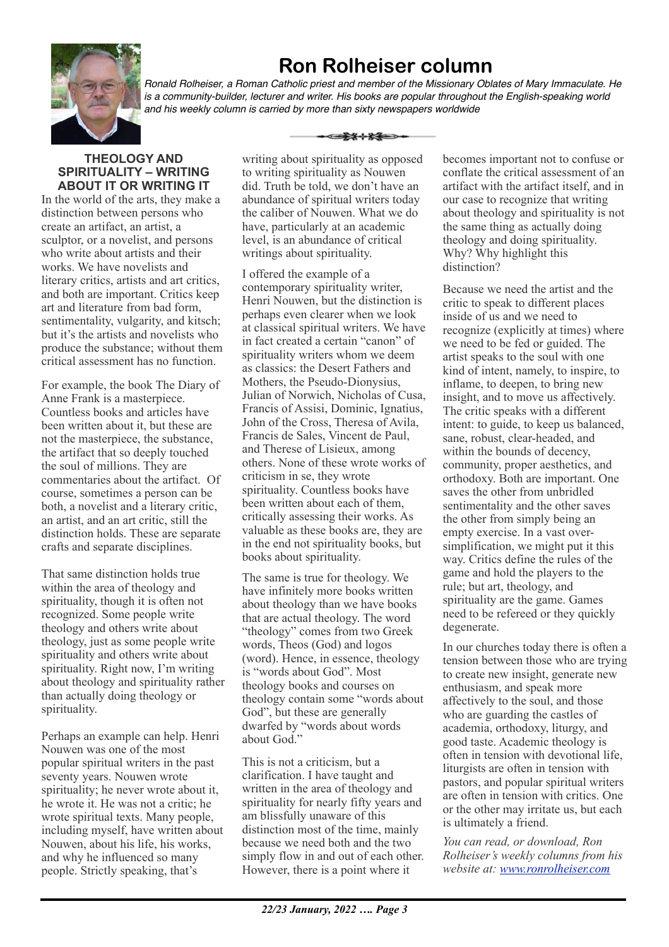

## **Ron Rolheiser column**

*Ronald Rolheiser, a Roman Catholic priest and member of the Missionary Oblates of Mary Immaculate. He is a community-builder, lecturer and writer. His books are popular throughout the English-speaking world and his weekly column is carried by more than sixty newspapers worldwide*

▅<del>▓</del>⊹▓▅⊶

#### **THEOLOGY AND SPIRITUALITY – WRITING ABOUT IT OR WRITING IT**

In the world of the arts, they make a distinction between persons who create an artifact, an artist, a sculptor, or a novelist, and persons who write about artists and their works. We have novelists and literary critics, artists and art critics, and both are important. Critics keep art and literature from bad form, sentimentality, vulgarity, and kitsch; but it's the artists and novelists who produce the substance; without them critical assessment has no function.

For example, the book The Diary of Anne Frank is a masterpiece. Countless books and articles have been written about it, but these are not the masterpiece, the substance the artifact that so deeply touched the soul of millions. They are commentaries about the artifact. Of course, sometimes a person can be both, a novelist and a literary critic, an artist, and an art critic, still the distinction holds. These are separate crafts and separate disciplines.

That same distinction holds true within the area of theology and spirituality, though it is often not recognized. Some people write theology and others write about theology, just as some people write spirituality and others write about spirituality. Right now, I'm writing about theology and spirituality rather than actually doing theology or spirituality.

Perhaps an example can help. Henri Nouwen was one of the most popular spiritual writers in the past seventy years. Nouwen wrote spirituality; he never wrote about it, he wrote it. He was not a critic; he wrote spiritual texts. Many people, including myself, have written about Nouwen, about his life, his works, and why he influenced so many people. Strictly speaking, that's

writing about spirituality as opposed to writing spirituality as Nouwen did. Truth be told, we don't have an abundance of spiritual writers today the caliber of Nouwen. What we do have, particularly at an academic level, is an abundance of critical writings about spirituality.

I offered the example of a contemporary spirituality writer, Henri Nouwen, but the distinction is perhaps even clearer when we look at classical spiritual writers. We have in fact created a certain "canon" of spirituality writers whom we deem as classics: the Desert Fathers and Mothers, the Pseudo-Dionysius, Julian of Norwich, Nicholas of Cusa, Francis of Assisi, Dominic, Ignatius, John of the Cross, Theresa of Avila, Francis de Sales, Vincent de Paul, and Therese of Lisieux, among others. None of these wrote works of criticism in se, they wrote spirituality. Countless books have been written about each of them, critically assessing their works. As valuable as these books are, they are in the end not spirituality books, but books about spirituality.

The same is true for theology. We have infinitely more books written about theology than we have books that are actual theology. The word "theology" comes from two Greek words, Theos (God) and logos (word). Hence, in essence, theology is "words about God". Most theology books and courses on theology contain some "words about God", but these are generally dwarfed by "words about words about God."

This is not a criticism, but a clarification. I have taught and written in the area of theology and spirituality for nearly fifty years and am blissfully unaware of this distinction most of the time, mainly because we need both and the two simply flow in and out of each other. However, there is a point where it

becomes important not to confuse or conflate the critical assessment of an artifact with the artifact itself, and in our case to recognize that writing about theology and spirituality is not the same thing as actually doing theology and doing spirituality. Why? Why highlight this distinction?

Because we need the artist and the critic to speak to different places inside of us and we need to recognize (explicitly at times) where we need to be fed or guided. The artist speaks to the soul with one kind of intent, namely, to inspire, to inflame, to deepen, to bring new insight, and to move us affectively. The critic speaks with a different intent: to guide, to keep us balanced, sane, robust, clear-headed, and within the bounds of decency, community, proper aesthetics, and orthodoxy. Both are important. One saves the other from unbridled sentimentality and the other saves the other from simply being an empty exercise. In a vast oversimplification, we might put it this way. Critics define the rules of the game and hold the players to the rule; but art, theology, and spirituality are the game. Games need to be refereed or they quickly degenerate.

In our churches today there is often a tension between those who are trying to create new insight, generate new enthusiasm, and speak more affectively to the soul, and those who are guarding the castles of academia, orthodoxy, liturgy, and good taste. Academic theology is often in tension with devotional life, liturgists are often in tension with pastors, and popular spiritual writers are often in tension with critics. One or the other may irritate us, but each is ultimately a friend.

*You can read, or download, Ron Rolheiser's weekly columns from his website at: [www.ronrolheiser.com](http://www.ronrolheiser.com)*